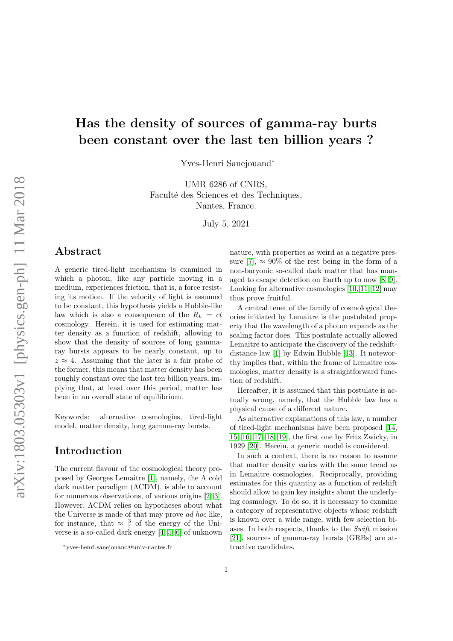# Has the density of sources of gamma-ray burts been constant over the last ten billion years ?

Yves-Henri Sanejouand<sup>∗</sup>

UMR 6286 of CNRS, Faculté des Sciences et des Techniques, Nantes, France.

July 5, 2021

### Abstract

A generic tired-light mechanism is examined in which a photon, like any particle moving in a medium, experiences friction, that is, a force resisting its motion. If the velocity of light is assumed to be constant, this hypothesis yields a Hubble-like law which is also a consequence of the  $R_h = ct$ cosmology. Herein, it is used for estimating matter density as a function of redshift, allowing to show that the density of sources of long gammaray bursts appears to be nearly constant, up to  $z \approx 4$ . Assuming that the later is a fair probe of the former, this means that matter density has been roughly constant over the last ten billion years, implying that, at least over this period, matter has been in an overall state of equilibrium.

Keywords: alternative cosmologies, tired-light model, matter density, long gamma-ray bursts.

# Introduction

The current flavour of the cosmological theory pro-posed by Georges Lemaitre [\[1\]](#page-3-0), namely, the  $\Lambda$  cold dark matter paradigm (ΛCDM), is able to account for numerous observations, of various origins [\[2,](#page-3-1) [3\]](#page-3-2). However, ΛCDM relies on hypotheses about what the Universe is made of that may prove ad hoc like, for instance, that  $\approx \frac{3}{4}$  of the energy of the Universe is a so-called dark energy [\[4,](#page-3-3) [5,](#page-3-4) [6\]](#page-3-5) of unknown nature, with properties as weird as a negative pres-sure [\[7\]](#page-3-6),  $\approx 90\%$  of the rest being in the form of a non-baryonic so-called dark matter that has managed to escape detection on Earth up to now [\[8,](#page-3-7) [9\]](#page-3-8). Looking for alternative cosmologies [\[10,](#page-3-9) [11,](#page-3-10) [12\]](#page-3-11) may thus prove fruitful.

A central tenet of the family of cosmological theories initiated by Lemaitre is the postulated property that the wavelength of a photon expands as the scaling factor does. This postulate actually allowed Lemaitre to anticipate the discovery of the redshiftdistance law [\[1\]](#page-3-0) by Edwin Hubble [\[13\]](#page-3-12). It noteworthy implies that, within the frame of Lemaitre cosmologies, matter density is a straightforward function of redshift.

Hereafter, it is assumed that this postulate is actually wrong, namely, that the Hubble law has a physical cause of a different nature.

As alternative explanations of this law, a number of tired-light mechanisms have been proposed [\[14,](#page-3-13) [15,](#page-3-14) [16,](#page-3-15) [17,](#page-3-16) [18,](#page-3-17) [19\]](#page-3-18), the first one by Fritz Zwicky, in 1929 [\[20\]](#page-3-19). Herein, a generic model is considered.

In such a context, there is no reason to assume that matter density varies with the same trend as in Lemaitre cosmologies. Reciprocally, providing estimates for this quantity as a function of redshift should allow to gain key insights about the underlying cosmology. To do so, it is necessary to examine a category of representative objects whose redshift is known over a wide range, with few selection biases. In both respects, thanks to the Swift mission [\[21\]](#page-3-20), sources of gamma-ray bursts (GRBs) are attractive candidates.

<sup>∗</sup>yves-henri.sanejouand@univ-nantes.fr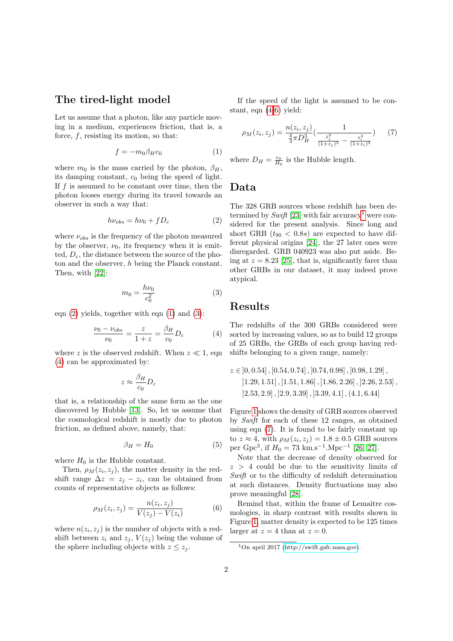### The tired-light model

Let us assume that a photon, like any particle moving in a medium, experiences friction, that is, a force,  $f$ , resisting its motion, so that:

<span id="page-1-1"></span>
$$
f = -m_0 \beta_H c_0 \tag{1}
$$

where  $m_0$  is the mass carried by the photon,  $\beta_H$ , its damping constant,  $c_0$  being the speed of light. If  $f$  is assumed to be constant over time, then the photon looses energy during its travel towards an observer in such a way that:

<span id="page-1-0"></span>
$$
h\nu_{obs} = h\nu_0 + fD_c \tag{2}
$$

where  $\nu_{obs}$  is the frequency of the photon measured by the observer,  $\nu_0$ , its frequency when it is emitted,  $D_c$ , the distance between the source of the photon and the observer, h being the Planck constant. Then, with [\[22\]](#page-3-21):

<span id="page-1-2"></span>
$$
m_0 = \frac{h\nu_0}{c_0^2} \tag{3}
$$

eqn  $(2)$  yields, together with eqn  $(1)$  and  $(3)$ :

<span id="page-1-3"></span>
$$
\frac{\nu_0 - \nu_{obs}}{\nu_0} = \frac{z}{1+z} = \frac{\beta_H}{c_0} D_c \tag{4}
$$

where z is the observed redshift. When  $z \ll 1$ , eqn [\(4\)](#page-1-3) can be approximated by:

$$
z\approx \frac{\beta_H}{c_0}D_c
$$

that is, a relationship of the same form as the one discovered by Hubble [\[13\]](#page-3-12). So, let us assume that the cosmological redshift is mostly due to photon friction, as defined above, namely, that:

<span id="page-1-7"></span>
$$
\beta_H = H_0 \tag{5}
$$

where  $H_0$  is the Hubble constant.

Then,  $\rho_M(z_i, z_j)$ , the matter density in the redshift range  $\Delta z = z_j - z_i$ , can be obtained from counts of representative objects as follows:

<span id="page-1-4"></span>
$$
\rho_M(z_i, z_j) = \frac{n(z_i, z_j)}{V(z_j) - V(z_i)}
$$
(6)

where  $n(z_i, z_j)$  is the number of objects with a redshift between  $z_i$  and  $z_j$ ,  $V(z_j)$  being the volume of the sphere including objects with  $z \leq z_i$ .

If the speed of the light is assumed to be constant, eqn [\(4-](#page-1-3)[6\)](#page-1-4) yield:

<span id="page-1-6"></span>
$$
\rho_M(z_i, z_j) = \frac{n(z_i, z_j)}{\frac{4}{3}\pi D_H^3} \left(\frac{1}{\frac{z_j^3}{(1+z_j)^3} - \frac{z_i^3}{(1+z_i)^3}}\right) \tag{7}
$$

where  $D_H = \frac{c_0}{H_0}$  is the Hubble length.

#### Data

The 328 GRB sources whose redshift has been determined by  $Swith$  [\[23\]](#page-3-22) with fair accuracy<sup>[1](#page-1-5)</sup> were considered for the present analysis. Since long and short GRB  $(t_{90} < 0.8s)$  are expected to have different physical origins [\[24\]](#page-3-23), the 27 later ones were disregarded. GRB 040923 was also put aside. Being at  $z = 8.23$  [\[25\]](#page-4-0), that is, significantly farer than other GRBs in our dataset, it may indeed prove atypical.

#### Results

The redshifts of the 300 GRBs considered were sorted by increasing values, so as to build 12 groups of 25 GRBs, the GRBs of each group having redshifts belonging to a given range, namely:

$$
z \in [0, 0.54], [0.54, 0.74], [0.74, 0.98], [0.98, 1.29],
$$
  
\n
$$
[1.29, 1.51], [1.51, 1.86], [1.86, 2.26], [2.26, 2.53],
$$
  
\n
$$
[2.53, 2.9], [2.9, 3.39], [3.39, 4.1], (4.1, 6.44]
$$

Figure [1](#page-2-0) shows the density of GRB sources observed by Swift for each of these 12 ranges, as obtained using eqn [\(7\)](#page-1-6). It is found to be fairly constant up to  $z \approx 4$ , with  $\rho_M(z_i, z_j) = 1.8 \pm 0.5$  GRB sources per Gpc<sup>3</sup>, if  $H_0 = 73 \text{ km.s}^{-1}$ .Mpc<sup>-1</sup> [\[26,](#page-4-1) [27\]](#page-4-2).

Note that the decrease of density observed for  $z > 4$  could be due to the sensitivity limits of Swift or to the difficulty of redshift determination at such distances. Density fluctuations may also prove meaningful [\[28\]](#page-4-3).

Remind that, within the frame of Lemaitre cosmologies, in sharp contrast with results shown in Figure [1,](#page-2-0) matter density is expected to be 125 times larger at  $z = 4$  than at  $z = 0$ .

<span id="page-1-5"></span> $1$ On april 2017 [\(http://swift.gsfc.nasa.gov\)](http://swift.gsfc.nasa.gov).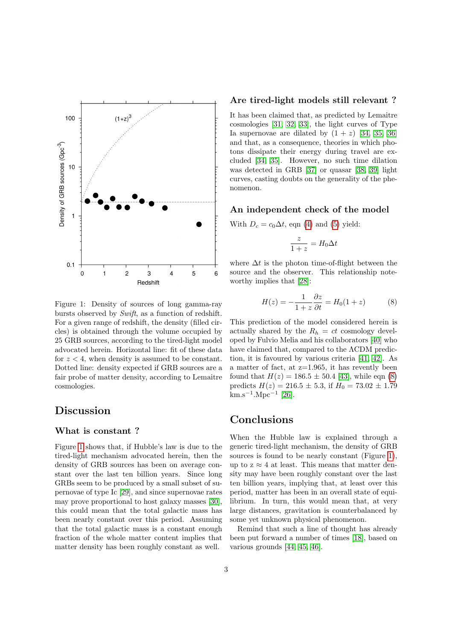

<span id="page-2-0"></span>Figure 1: Density of sources of long gamma-ray bursts observed by Swift, as a function of redshift. For a given range of redshift, the density (filled circles) is obtained through the volume occupied by 25 GRB sources, according to the tired-light model advocated herein. Horizontal line: fit of these data for  $z < 4$ , when density is assumed to be constant. Dotted line: density expected if GRB sources are a fair probe of matter density, according to Lemaitre cosmologies.

## Discussion

#### What is constant ?

Figure [1](#page-2-0) shows that, if Hubble's law is due to the tired-light mechanism advocated herein, then the density of GRB sources has been on average constant over the last ten billion years. Since long GRBs seem to be produced by a small subset of supernovae of type Ic [\[29\]](#page-4-4), and since supernovae rates may prove proportional to host galaxy masses [\[30\]](#page-4-5), this could mean that the total galactic mass has been nearly constant over this period. Assuming that the total galactic mass is a constant enough fraction of the whole matter content implies that matter density has been roughly constant as well.

#### Are tired-light models still relevant ?

It has been claimed that, as predicted by Lemaitre cosmologies [\[31,](#page-4-6) [32,](#page-4-7) [33\]](#page-4-8), the light curves of Type Ia supernovae are dilated by  $(1 + z)$  [\[34,](#page-4-9) [35,](#page-4-10) [36\]](#page-4-11) and that, as a consequence, theories in which photons dissipate their energy during travel are excluded [\[34,](#page-4-9) [35\]](#page-4-10). However, no such time dilation was detected in GRB [\[37\]](#page-4-12) or quasar [\[38,](#page-4-13) [39\]](#page-4-14) light curves, casting doubts on the generality of the phenomenon.

#### An independent check of the model

With  $D_c = c_0 \Delta t$ , eqn [\(4\)](#page-1-3) and [\(5\)](#page-1-7) yield:

$$
\frac{z}{1+z} = H_0 \Delta t
$$

where  $\Delta t$  is the photon time-of-flight between the source and the observer. This relationship noteworthy implies that [\[28\]](#page-4-3):

<span id="page-2-1"></span>
$$
H(z) = -\frac{1}{1+z} \frac{\partial z}{\partial t} = H_0(1+z) \tag{8}
$$

This prediction of the model considered herein is actually shared by the  $R_h = ct$  cosmology developed by Fulvio Melia and his collaborators [\[40\]](#page-4-15) who have claimed that, compared to the ΛCDM prediction, it is favoured by various criteria [\[41,](#page-4-16) [42\]](#page-4-17). As a matter of fact, at  $z=1.965$ , it has revently been found that  $H(z) = 186.5 \pm 50.4$  [\[43\]](#page-4-18), while eqn [\(8\)](#page-2-1) predicts  $H(z) = 216.5 \pm 5.3$ , if  $H_0 = 73.02 \pm 1.79$  $\rm km.s^{-1}.Mpc^{-1}$  [\[26\]](#page-4-1).

### Conclusions

When the Hubble law is explained through a generic tired-light mechanism, the density of GRB sources is found to be nearly constant (Figure [1\)](#page-2-0), up to  $z \approx 4$  at least. This means that matter density may have been roughly constant over the last ten billion years, implying that, at least over this period, matter has been in an overall state of equilibrium. In turn, this would mean that, at very large distances, gravitation is counterbalanced by some yet unknown physical phenomenon.

Remind that such a line of thought has already been put forward a number of times [\[18\]](#page-3-17), based on various grounds [\[44,](#page-4-19) [45,](#page-4-20) [46\]](#page-4-21).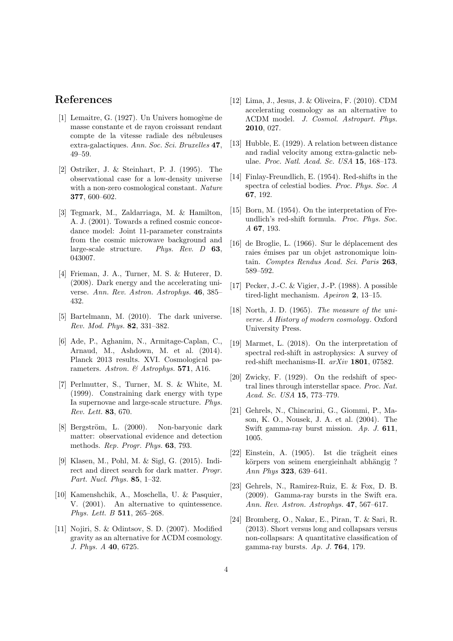### References

- <span id="page-3-0"></span>[1] Lemaitre, G.  $(1927)$ . Un Univers homogène de masse constante et de rayon croissant rendant compte de la vitesse radiale des nébuleuses extra-galactiques. Ann. Soc. Sci. Bruxelles 47, 49–59.
- <span id="page-3-1"></span>[2] Ostriker, J. & Steinhart, P. J. (1995). The observational case for a low-density universe with a non-zero cosmological constant. Nature 377, 600–602.
- <span id="page-3-2"></span>[3] Tegmark, M., Zaldarriaga, M. & Hamilton, A. J. (2001). Towards a refined cosmic concordance model: Joint 11-parameter constraints from the cosmic microwave background and large-scale structure. Phys. Rev. D 63, 043007.
- <span id="page-3-3"></span>[4] Frieman, J. A., Turner, M. S. & Huterer, D. (2008). Dark energy and the accelerating universe. Ann. Rev. Astron. Astrophys. 46, 385– 432.
- <span id="page-3-4"></span>[5] Bartelmann, M. (2010). The dark universe. Rev. Mod. Phys. 82, 331–382.
- <span id="page-3-5"></span>[6] Ade, P., Aghanim, N., Armitage-Caplan, C., Arnaud, M., Ashdown, M. et al. (2014). Planck 2013 results. XVI. Cosmological parameters. Astron. & Astrophys. 571, A16.
- <span id="page-3-6"></span>[7] Perlmutter, S., Turner, M. S. & White, M. (1999). Constraining dark energy with type Ia supernovae and large-scale structure. Phys. Rev. Lett. 83, 670.
- <span id="page-3-7"></span>[8] Bergström, L. (2000). Non-baryonic dark matter: observational evidence and detection methods. Rep. Progr. Phys. 63, 793.
- <span id="page-3-8"></span>[9] Klasen, M., Pohl, M. & Sigl, G. (2015). Indirect and direct search for dark matter. Progr. Part. Nucl. Phys. 85, 1–32.
- <span id="page-3-9"></span>[10] Kamenshchik, A., Moschella, U. & Pasquier, V. (2001). An alternative to quintessence. Phys. Lett. B 511, 265–268.
- <span id="page-3-10"></span>[11] Nojiri, S. & Odintsov, S. D. (2007). Modified gravity as an alternative for ΛCDM cosmology. J. Phys. A 40, 6725.
- <span id="page-3-11"></span>[12] Lima, J., Jesus, J. & Oliveira, F. (2010). CDM accelerating cosmology as an alternative to ΛCDM model. J. Cosmol. Astropart. Phys. 2010, 027.
- <span id="page-3-12"></span>[13] Hubble, E. (1929). A relation between distance and radial velocity among extra-galactic nebulae. Proc. Natl. Acad. Sc. USA 15, 168–173.
- <span id="page-3-13"></span>[14] Finlay-Freundlich, E. (1954). Red-shifts in the spectra of celestial bodies. Proc. Phys. Soc. A 67, 192.
- <span id="page-3-14"></span>[15] Born, M. (1954). On the interpretation of Freundlich's red-shift formula. Proc. Phys. Soc. A 67, 193.
- <span id="page-3-15"></span> $[16]$  de Broglie, L.  $(1966)$ . Sur le déplacement des raies émises par un objet astronomique lointain. Comptes Rendus Acad. Sci. Paris 263, 589–592.
- <span id="page-3-16"></span>[17] Pecker, J.-C. & Vigier, J.-P. (1988). A possible tired-light mechanism. Apeiron 2, 13-15.
- <span id="page-3-17"></span>[18] North, J. D. (1965). The measure of the universe. A History of modern cosmology. Oxford University Press.
- <span id="page-3-18"></span>[19] Marmet, L. (2018). On the interpretation of spectral red-shift in astrophysics: A survey of red-shift mechanisms-II. arXiv 1801, 07582.
- <span id="page-3-19"></span>[20] Zwicky, F. (1929). On the redshift of spectral lines through interstellar space. Proc. Nat. Acad. Sc. USA 15, 773–779.
- <span id="page-3-20"></span>[21] Gehrels, N., Chincarini, G., Giommi, P., Mason, K. O., Nousek, J. A. et al. (2004). The Swift gamma-ray burst mission. Ap. J. 611, 1005.
- <span id="page-3-21"></span> $[22]$  Einstein, A.  $(1905)$ . Ist die trägheit eines körpers von seinem energieinhalt abhängig ? Ann Phys 323, 639–641.
- <span id="page-3-22"></span>[23] Gehrels, N., Ramirez-Ruiz, E. & Fox, D. B. (2009). Gamma-ray bursts in the Swift era. Ann. Rev. Astron. Astrophys. 47, 567–617.
- <span id="page-3-23"></span>[24] Bromberg, O., Nakar, E., Piran, T. & Sari, R. (2013). Short versus long and collapsars versus non-collapsars: A quantitative classification of gamma-ray bursts. Ap. J.  $764$ , 179.